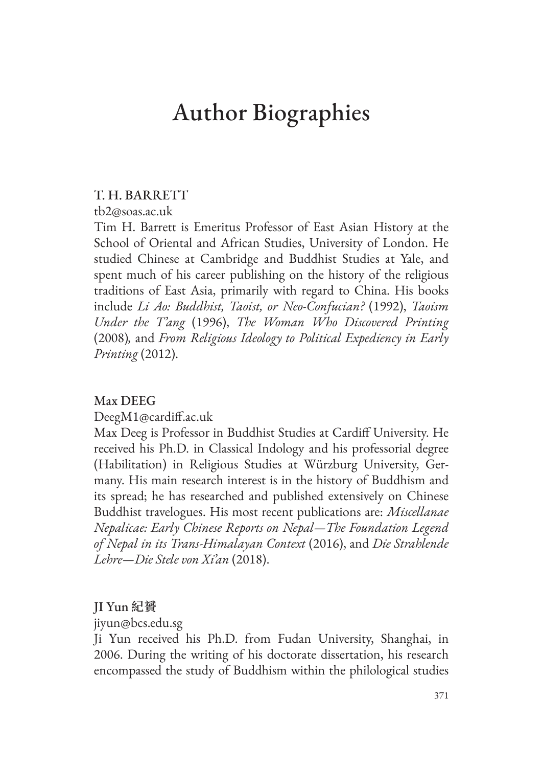# Author Biographies

# T. H. BARRETT

tb2@soas.ac.uk

Tim H. Barrett is Emeritus Professor of East Asian History at the School of Oriental and African Studies, University of London. He studied Chinese at Cambridge and Buddhist Studies at Yale, and spent much of his career publishing on the history of the religious traditions of East Asia, primarily with regard to China. His books include *Li Ao: Buddhist, Taoist, or Neo-Confucian?* (1992), *Taoism Under the T'ang* (1996), *The Woman Who Discovered Printing*  (2008)*,* and *From Religious Ideology to Political Expediency in Early Printing* (2012).

# Max DEEG

DeegM1@cardiff.ac.uk

Max Deeg is Professor in Buddhist Studies at Cardiff University. He received his Ph.D. in Classical Indology and his professorial degree (Habilitation) in Religious Studies at Würzburg University, Germany. His main research interest is in the history of Buddhism and its spread; he has researched and published extensively on Chinese Buddhist travelogues. His most recent publications are: *Miscellanae Nepalicae: Early Chinese Reports on Nepal—The Foundation Legend of Nepal in its Trans-Himalayan Context* (2016), and *Die Strahlende Lehre—Die Stele von Xi'an* (2018).

# JI Yun **紀贇**

jiyun@bcs.edu.sg

Ji Yun received his Ph.D. from Fudan University, Shanghai, in 2006. During the writing of his doctorate dissertation, his research encompassed the study of Buddhism within the philological studies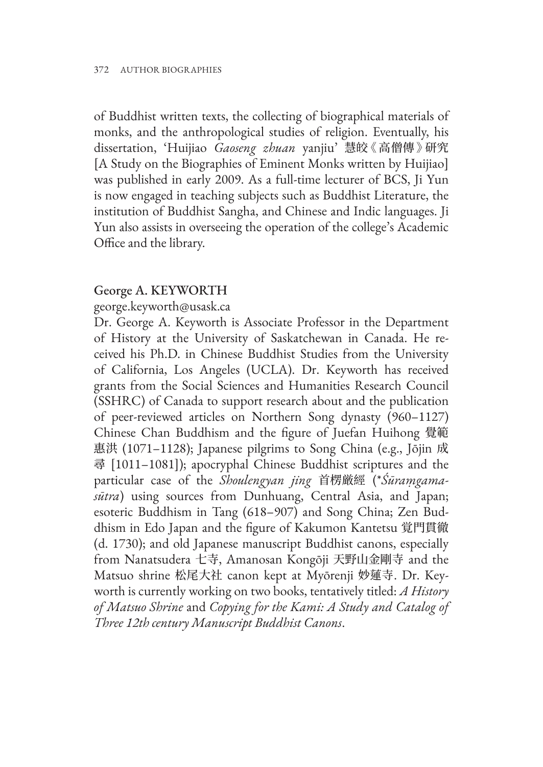of Buddhist written texts, the collecting of biographical materials of monks, and the anthropological studies of religion. Eventually, his dissertation, 'Huijiao *Gaoseng zhuan* yanjiu' 慧皎《 高僧傳 》研究 [A Study on the Biographies of Eminent Monks written by Huijiao] was published in early 2009. As a full-time lecturer of BCS, Ji Yun is now engaged in teaching subjects such as Buddhist Literature, the institution of Buddhist Sangha, and Chinese and Indic languages. Ji Yun also assists in overseeing the operation of the college's Academic Office and the library.

#### George A. KEYWORTH

george.keyworth@usask.ca

Dr. George A. Keyworth is Associate Professor in the Department of History at the University of Saskatchewan in Canada. He received his Ph.D. in Chinese Buddhist Studies from the University of California, Los Angeles (UCLA). Dr. Keyworth has received grants from the Social Sciences and Humanities Research Council (SSHRC) of Canada to support research about and the publication of peer-reviewed articles on Northern Song dynasty (960–1127) Chinese Chan Buddhism and the figure of Juefan Huihong 覺範 惠洪 (1071–1128); Japanese pilgrims to Song China (e.g., Jōjin 成 尋 [1011–1081]); apocryphal Chinese Buddhist scriptures and the particular case of the *Shoulengyan jing* 首楞厳經 (\**Śūraṃgamasūtra*) using sources from Dunhuang, Central Asia, and Japan; esoteric Buddhism in Tang (618–907) and Song China; Zen Buddhism in Edo Japan and the figure of Kakumon Kantetsu 覚門貫徹 (d. 1730); and old Japanese manuscript Buddhist canons, especially from Nanatsudera 七寺, Amanosan Kongōji 天野山金剛寺 and the Matsuo shrine 松尾大社 canon kept at Myōrenji 妙蓮寺. Dr. Keyworth is currently working on two books, tentatively titled: *A History of Matsuo Shrine* and *Copying for the Kami: A Study and Catalog of Three 12th century Manuscript Buddhist Canons*.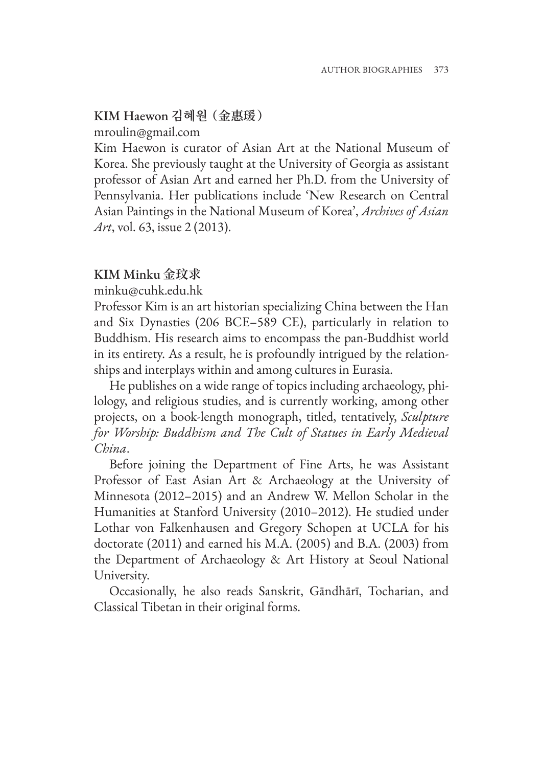# KIM Haewon **김혜원 (金惠瑗)**

mroulin@gmail.com

Kim Haewon is curator of Asian Art at the National Museum of Korea. She previously taught at the University of Georgia as assistant professor of Asian Art and earned her Ph.D. from the University of Pennsylvania. Her publications include 'New Research on Central Asian Paintings in the National Museum of Korea', *Archives of Asian Art*, vol. 63, issue 2 (2013).

# KIM Minku **金玟求**

minku@cuhk.edu.hk

Professor Kim is an art historian specializing China between the Han and Six Dynasties (206 BCE–589 CE), particularly in relation to Buddhism. His research aims to encompass the pan-Buddhist world in its entirety. As a result, he is profoundly intrigued by the relationships and interplays within and among cultures in Eurasia.

He publishes on a wide range of topics including archaeology, philology, and religious studies, and is currently working, among other projects, on a book-length monograph, titled, tentatively, *Sculpture for Worship: Buddhism and The Cult of Statues in Early Medieval China*.

Before joining the Department of Fine Arts, he was Assistant Professor of East Asian Art & Archaeology at the University of Minnesota (2012–2015) and an Andrew W. Mellon Scholar in the Humanities at Stanford University (2010–2012). He studied under Lothar von Falkenhausen and Gregory Schopen at UCLA for his doctorate (2011) and earned his M.A. (2005) and B.A. (2003) from the Department of Archaeology & Art History at Seoul National University.

Occasionally, he also reads Sanskrit, Gāndhārī, Tocharian, and Classical Tibetan in their original forms.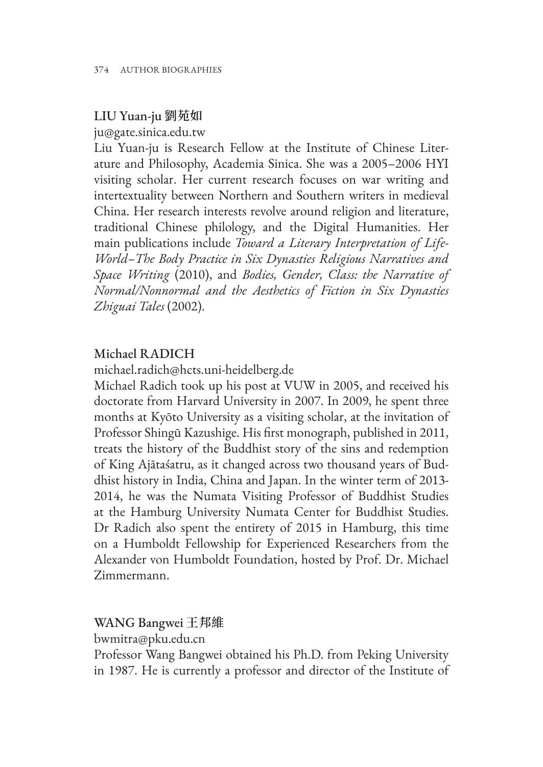# LIU Yuan-ju **劉苑如**

ju@gate.sinica.edu.tw

Liu Yuan-ju is Research Fellow at the Institute of Chinese Literature and Philosophy, Academia Sinica. She was a 2005–2006 HYI visiting scholar. Her current research focuses on war writing and intertextuality between Northern and Southern writers in medieval China. Her research interests revolve around religion and literature, traditional Chinese philology, and the Digital Humanities. Her main publications include *Toward a Literary Interpretation of Life-World–The Body Practice in Six Dynasties Religious Narratives and Space Writing* (2010), and *Bodies, Gender, Class: the Narrative of Normal/Nonnormal and the Aesthetics of Fiction in Six Dynasties Zhiguai Tales* (2002).

# Michael RADICH

michael.radich@hcts.uni-heidelberg.de

Michael Radich took up his post at VUW in 2005, and received his doctorate from Harvard University in 2007. In 2009, he spent three months at Kyōto University as a visiting scholar, at the invitation of Professor Shingū Kazushige. His first monograph, published in 2011, treats the history of the Buddhist story of the sins and redemption of King Ajātaśatru, as it changed across two thousand years of Buddhist history in India, China and Japan. In the winter term of 2013- 2014, he was the Numata Visiting Professor of Buddhist Studies at the Hamburg University Numata Center for Buddhist Studies. Dr Radich also spent the entirety of 2015 in Hamburg, this time on a Humboldt Fellowship for Experienced Researchers from the Alexander von Humboldt Foundation, hosted by Prof. Dr. Michael Zimmermann.

# WANG Bangwei **王邦維**

bwmitra@pku.edu.cn

Professor Wang Bangwei obtained his Ph.D. from Peking University in 1987. He is currently a professor and director of the Institute of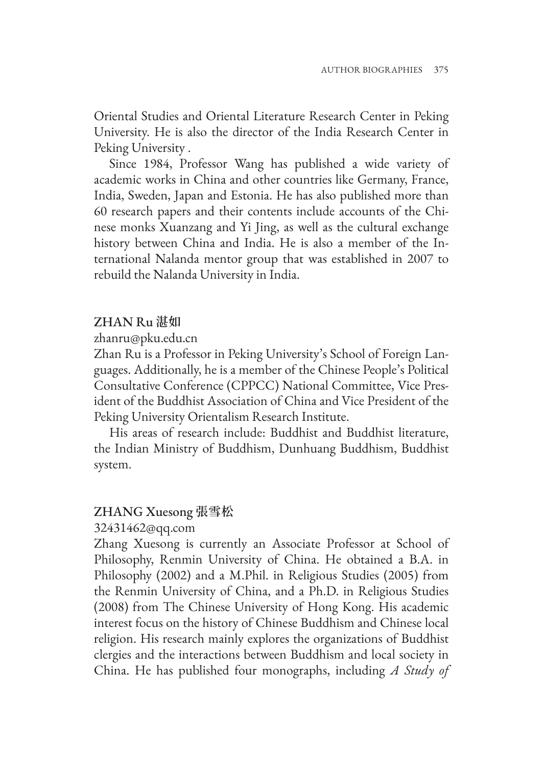Oriental Studies and Oriental Literature Research Center in Peking University. He is also the director of the India Research Center in Peking University .

Since 1984, Professor Wang has published a wide variety of academic works in China and other countries like Germany, France, India, Sweden, Japan and Estonia. He has also published more than 60 research papers and their contents include accounts of the Chinese monks Xuanzang and Yi Jing, as well as the cultural exchange history between China and India. He is also a member of the International Nalanda mentor group that was established in 2007 to rebuild the Nalanda University in India.

# ZHAN Ru **湛如**

zhanru@pku.edu.cn

Zhan Ru is a Professor in Peking University's School of Foreign Languages. Additionally, he is a member of the Chinese People's Political Consultative Conference (CPPCC) National Committee, Vice President of the Buddhist Association of China and Vice President of the Peking University Orientalism Research Institute.

His areas of research include: Buddhist and Buddhist literature, the Indian Ministry of Buddhism, Dunhuang Buddhism, Buddhist system.

# ZHANG Xuesong **張雪松**

# 32431462@qq.com

Zhang Xuesong is currently an Associate Professor at School of Philosophy, Renmin University of China. He obtained a B.A. in Philosophy (2002) and a M.Phil. in Religious Studies (2005) from the Renmin University of China, and a Ph.D. in Religious Studies (2008) from The Chinese University of Hong Kong. His academic interest focus on the history of Chinese Buddhism and Chinese local religion. His research mainly explores the organizations of Buddhist clergies and the interactions between Buddhism and local society in China. He has published four monographs, including *A Study of*